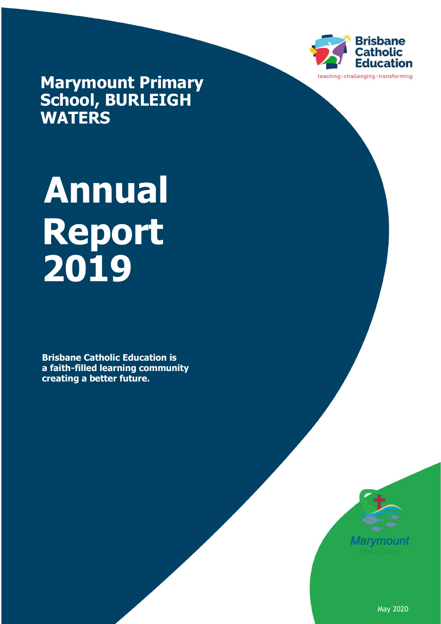

**Marymount Primary School, BURLEIGH WATERS**

# **Annual Report 2019**

**Brisbane Catholic Education is a faith-filled learning community creating a better future.** 



May 2020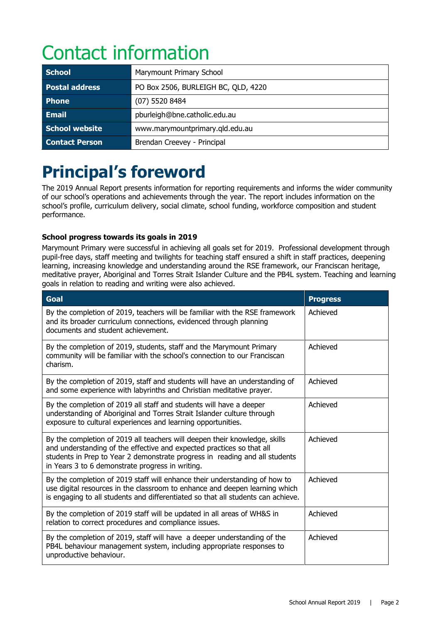# Contact information

| <b>School</b>         | Marymount Primary School            |  |
|-----------------------|-------------------------------------|--|
| <b>Postal address</b> | PO Box 2506, BURLEIGH BC, QLD, 4220 |  |
| <b>Phone</b>          | (07) 5520 8484                      |  |
| <b>Email</b>          | pburleigh@bne.catholic.edu.au       |  |
| School website        | www.marymountprimary.qld.edu.au     |  |
| <b>Contact Person</b> | Brendan Creevey - Principal         |  |

# **Principal's foreword**

The 2019 Annual Report presents information for reporting requirements and informs the wider community of our school's operations and achievements through the year. The report includes information on the school's profile, curriculum delivery, social climate, school funding, workforce composition and student performance.

#### **School progress towards its goals in 2019**

Marymount Primary were successful in achieving all goals set for 2019. Professional development through pupil-free days, staff meeting and twilights for teaching staff ensured a shift in staff practices, deepening learning, increasing knowledge and understanding around the RSE framework, our Franciscan heritage, meditative prayer, Aboriginal and Torres Strait Islander Culture and the PB4L system. Teaching and learning goals in relation to reading and writing were also achieved.

| <b>Goal</b>                                                                                                                                                                                                                                                                            | <b>Progress</b> |
|----------------------------------------------------------------------------------------------------------------------------------------------------------------------------------------------------------------------------------------------------------------------------------------|-----------------|
| By the completion of 2019, teachers will be familiar with the RSE framework<br>and its broader curriculum connections, evidenced through planning<br>documents and student achievement.                                                                                                | Achieved        |
| By the completion of 2019, students, staff and the Marymount Primary<br>community will be familiar with the school's connection to our Franciscan<br>charism.                                                                                                                          | Achieved        |
| By the completion of 2019, staff and students will have an understanding of<br>and some experience with labyrinths and Christian meditative prayer.                                                                                                                                    | Achieved        |
| By the completion of 2019 all staff and students will have a deeper<br>understanding of Aboriginal and Torres Strait Islander culture through<br>exposure to cultural experiences and learning opportunities.                                                                          | Achieved        |
| By the completion of 2019 all teachers will deepen their knowledge, skills<br>and understanding of the effective and expected practices so that all<br>students in Prep to Year 2 demonstrate progress in reading and all students<br>in Years 3 to 6 demonstrate progress in writing. | Achieved        |
| By the completion of 2019 staff will enhance their understanding of how to<br>use digital resources in the classroom to enhance and deepen learning which<br>is engaging to all students and differentiated so that all students can achieve.                                          | Achieved        |
| By the completion of 2019 staff will be updated in all areas of WH&S in<br>relation to correct procedures and compliance issues.                                                                                                                                                       | Achieved        |
| By the completion of 2019, staff will have a deeper understanding of the<br>PB4L behaviour management system, including appropriate responses to<br>unproductive behaviour.                                                                                                            | Achieved        |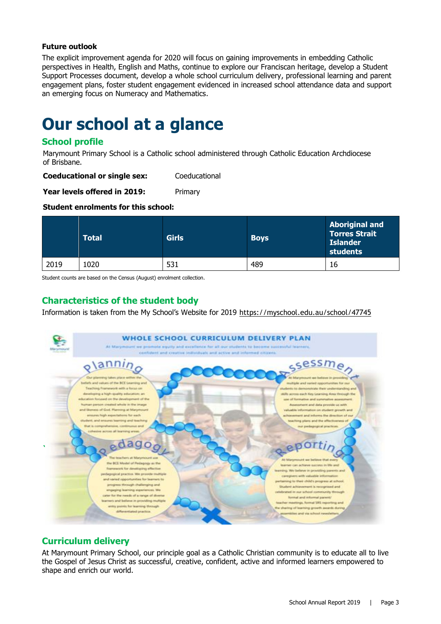#### **Future outlook**

The explicit improvement agenda for 2020 will focus on gaining improvements in embedding Catholic perspectives in Health, English and Maths, continue to explore our Franciscan heritage, develop a Student Support Processes document, develop a whole school curriculum delivery, professional learning and parent engagement plans, foster student engagement evidenced in increased school attendance data and support an emerging focus on Numeracy and Mathematics.

### **Our school at a glance**

#### **School profile**

Marymount Primary School is a Catholic school administered through Catholic Education Archdiocese of Brisbane.

**Coeducational or single sex:** Coeducational

**Year levels offered in 2019:** Primary

#### **Student enrolments for this school:**

|      | <b>Total</b> | <b>Girls</b> | <b>Boys</b> | <b>Aboriginal and</b><br><b>Torres Strait</b><br><b>Islander</b><br>students |
|------|--------------|--------------|-------------|------------------------------------------------------------------------------|
| 2019 | 1020         | 531          | 489         | 16                                                                           |

Student counts are based on the Census (August) enrolment collection.

#### **Characteristics of the student body**

Information is taken from the My School's Website for 2019 <https://myschool.edu.au/school/47745>



#### **Curriculum delivery**

At Marymount Primary School, our principle goal as a Catholic Christian community is to educate all to live the Gospel of Jesus Christ as successful, creative, confident, active and informed learners empowered to shape and enrich our world.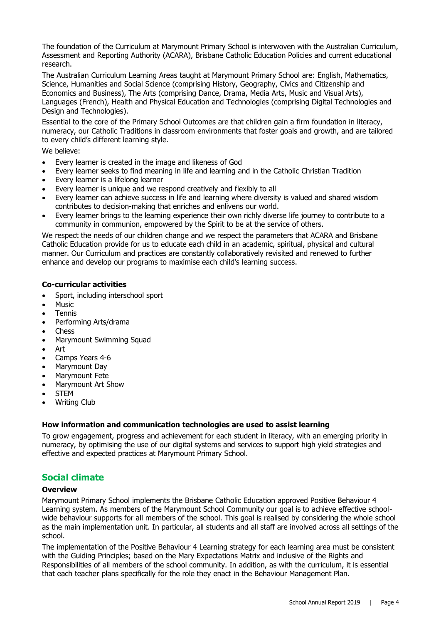The foundation of the Curriculum at Marymount Primary School is interwoven with the Australian Curriculum, Assessment and Reporting Authority (ACARA), Brisbane Catholic Education Policies and current educational research.

The Australian Curriculum Learning Areas taught at Marymount Primary School are: English, Mathematics, Science, Humanities and Social Science (comprising History, Geography, Civics and Citizenship and Economics and Business), The Arts (comprising Dance, Drama, Media Arts, Music and Visual Arts), Languages (French), Health and Physical Education and Technologies (comprising Digital Technologies and Design and Technologies).

Essential to the core of the Primary School Outcomes are that children gain a firm foundation in literacy, numeracy, our Catholic Traditions in classroom environments that foster goals and growth, and are tailored to every child's different learning style.

We believe:

- Every learner is created in the image and likeness of God
- Every learner seeks to find meaning in life and learning and in the Catholic Christian Tradition
- Every learner is a lifelong learner
- Every learner is unique and we respond creatively and flexibly to all
- Every learner can achieve success in life and learning where diversity is valued and shared wisdom contributes to decision-making that enriches and enlivens our world.
- Every learner brings to the learning experience their own richly diverse life journey to contribute to a community in communion, empowered by the Spirit to be at the service of others.

We respect the needs of our children change and we respect the parameters that ACARA and Brisbane Catholic Education provide for us to educate each child in an academic, spiritual, physical and cultural manner. Our Curriculum and practices are constantly collaboratively revisited and renewed to further enhance and develop our programs to maximise each child's learning success.

#### **Co-curricular activities**

- Sport, including interschool sport
- Music
- Tennis
- Performing Arts/drama
- Chess
- Marymount Swimming Squad
- Art
- Camps Years 4-6
- Marymount Day
- Marymount Fete
- Marymount Art Show
- STEM
- Writing Club

#### **How information and communication technologies are used to assist learning**

To grow engagement, progress and achievement for each student in literacy, with an emerging priority in numeracy, by optimising the use of our digital systems and services to support high yield strategies and effective and expected practices at Marymount Primary School.

#### **Social climate**

#### **Overview**

Marymount Primary School implements the Brisbane Catholic Education approved Positive Behaviour 4 Learning system. As members of the Marymount School Community our goal is to achieve effective schoolwide behaviour supports for all members of the school. This goal is realised by considering the whole school as the main implementation unit. In particular, all students and all staff are involved across all settings of the school.

The implementation of the Positive Behaviour 4 Learning strategy for each learning area must be consistent with the Guiding Principles; based on the Mary Expectations Matrix and inclusive of the Rights and Responsibilities of all members of the school community. In addition, as with the curriculum, it is essential that each teacher plans specifically for the role they enact in the Behaviour Management Plan.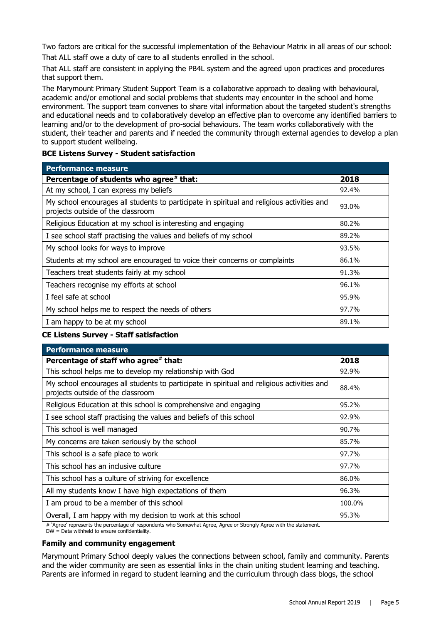Two factors are critical for the successful implementation of the Behaviour Matrix in all areas of our school:

That ALL staff owe a duty of care to all students enrolled in the school.

That ALL staff are consistent in applying the PB4L system and the agreed upon practices and procedures that support them.

The Marymount Primary Student Support Team is a collaborative approach to dealing with behavioural, academic and/or emotional and social problems that students may encounter in the school and home environment. The support team convenes to share vital information about the targeted student's strengths and educational needs and to collaboratively develop an effective plan to overcome any identified barriers to learning and/or to the development of pro-social behaviours. The team works collaboratively with the student, their teacher and parents and if needed the community through external agencies to develop a plan to support student wellbeing.

#### **BCE Listens Survey - Student satisfaction**

| <b>Performance measure</b>                                                                                                      |       |
|---------------------------------------------------------------------------------------------------------------------------------|-------|
| Percentage of students who agree# that:                                                                                         | 2018  |
| At my school, I can express my beliefs                                                                                          | 92.4% |
| My school encourages all students to participate in spiritual and religious activities and<br>projects outside of the classroom | 93.0% |
| Religious Education at my school is interesting and engaging                                                                    | 80.2% |
| I see school staff practising the values and beliefs of my school                                                               | 89.2% |
| My school looks for ways to improve                                                                                             | 93.5% |
| Students at my school are encouraged to voice their concerns or complaints                                                      | 86.1% |
| Teachers treat students fairly at my school                                                                                     | 91.3% |
| Teachers recognise my efforts at school                                                                                         | 96.1% |
| I feel safe at school                                                                                                           | 95.9% |
| My school helps me to respect the needs of others                                                                               | 97.7% |
| I am happy to be at my school                                                                                                   | 89.1% |

#### **CE Listens Survey - Staff satisfaction**

| 2018   |
|--------|
| 92.9%  |
| 88.4%  |
| 95.2%  |
| 92.9%  |
| 90.7%  |
| 85.7%  |
| 97.7%  |
| 97.7%  |
| 86.0%  |
| 96.3%  |
| 100.0% |
| 95.3%  |
|        |

# 'Agree' represents the percentage of respondents who Somewhat Agree, Agree or Strongly Agree with the statement.

DW = Data withheld to ensure confidentiality.

#### **Family and community engagement**

Marymount Primary School deeply values the connections between school, family and community. Parents and the wider community are seen as essential links in the chain uniting student learning and teaching. Parents are informed in regard to student learning and the curriculum through class blogs, the school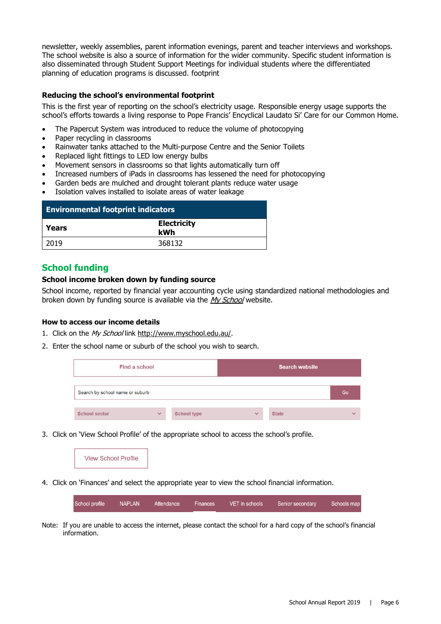newsletter, weekly assemblies, parent information evenings, parent and teacher interviews and workshops. The school website is also a source of information for the wider community. Specific student information is also disseminated through Student Support Meetings for individual students where the differentiated planning of education programs is discussed. footprint

#### **Reducing the school's environmental footprint**

This is the first year of reporting on the school's electricity usage. Responsible energy usage supports the school's efforts towards a living response to Pope Francis' Encyclical Laudato Si' Care for our Common Home.

- The Papercut System was introduced to reduce the volume of photocopying
- Paper recycling in classrooms
- Rainwater tanks attached to the Multi-purpose Centre and the Senior Toilets
- Replaced light fittings to LED low energy bulbs
- Movement sensors in classrooms so that lights automatically turn off
- Increased numbers of iPads in classrooms has lessened the need for photocopying
- Garden beds are mulched and drought tolerant plants reduce water usage
- Isolation valves installed to isolate areas of water leakage

| <b>Environmental footprint indicators</b> |                           |  |
|-------------------------------------------|---------------------------|--|
| Years                                     | <b>Electricity</b><br>kWh |  |
| 2019                                      | 368132                    |  |

#### **School funding**

#### **School income broken down by funding source**

School income, reported by financial year accounting cycle using standardized national methodologies and broken down by funding source is available via the [My School](http://www.myschool.edu.au/) website.

#### **How to access our income details**

- 1. Click on the My School lin[k http://www.myschool.edu.au/.](http://www.myschool.edu.au/)
- 2. Enter the school name or suburb of the school you wish to search.

| Find a school                   |              |                    |              | <b>Search website</b> |              |
|---------------------------------|--------------|--------------------|--------------|-----------------------|--------------|
| Search by school name or suburb |              |                    |              |                       | Go           |
| <b>School sector</b>            | $\checkmark$ | <b>School type</b> | $\checkmark$ | <b>State</b>          | $\checkmark$ |

3. Click on 'View School Profile' of the appropriate school to access the school's profile.



4. Click on 'Finances' and select the appropriate year to view the school financial information.

| School profile | NAPLAN | Attendance | Finances | VET in schools | Senior secondary | Schools map |
|----------------|--------|------------|----------|----------------|------------------|-------------|
|                |        |            |          |                |                  |             |

Note: If you are unable to access the internet, please contact the school for a hard copy of the school's financial information.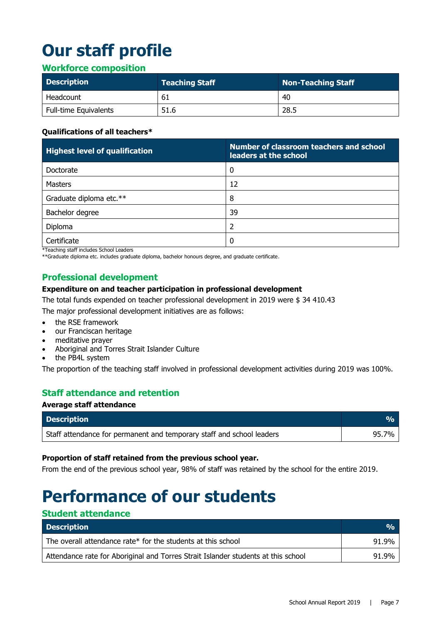# **Our staff profile**

#### **Workforce composition**

| <b>Description</b>    | <b>Teaching Staff</b> | Non-Teaching Staff |
|-----------------------|-----------------------|--------------------|
| Headcount             | -61                   | 40                 |
| Full-time Equivalents | 51.6                  | 28.5               |

#### **Qualifications of all teachers\***

| <b>Highest level of qualification</b> | Number of classroom teachers and school<br>leaders at the school |
|---------------------------------------|------------------------------------------------------------------|
| Doctorate                             | 0                                                                |
| Masters                               | 12                                                               |
| Graduate diploma etc.**               | 8                                                                |
| Bachelor degree                       | 39                                                               |
| Diploma                               | 2                                                                |
| Certificate                           | $\Omega$                                                         |

\*Teaching staff includes School Leaders

\*\*Graduate diploma etc. includes graduate diploma, bachelor honours degree, and graduate certificate.

#### **Professional development**

#### **Expenditure on and teacher participation in professional development**

The total funds expended on teacher professional development in 2019 were \$ 34 410.43

The major professional development initiatives are as follows:

- the RSE framework
- our Franciscan heritage
- meditative prayer
- Aboriginal and Torres Strait Islander Culture
- the PB4L system

The proportion of the teaching staff involved in professional development activities during 2019 was 100%.

#### **Staff attendance and retention**

#### **Average staff attendance**

| <b>Description</b>                                                                 | <b>VA</b> |
|------------------------------------------------------------------------------------|-----------|
| <sup>1</sup> Staff attendance for permanent and temporary staff and school leaders | 95.7%     |

#### **Proportion of staff retained from the previous school year.**

From the end of the previous school year, 98% of staff was retained by the school for the entire 2019.

# **Performance of our students**

#### **Student attendance**

| <b>Description</b>                                                                | $\frac{O}{O}$ |
|-----------------------------------------------------------------------------------|---------------|
| The overall attendance rate* for the students at this school                      | 91.9%         |
| Attendance rate for Aboriginal and Torres Strait Islander students at this school | 91.9%         |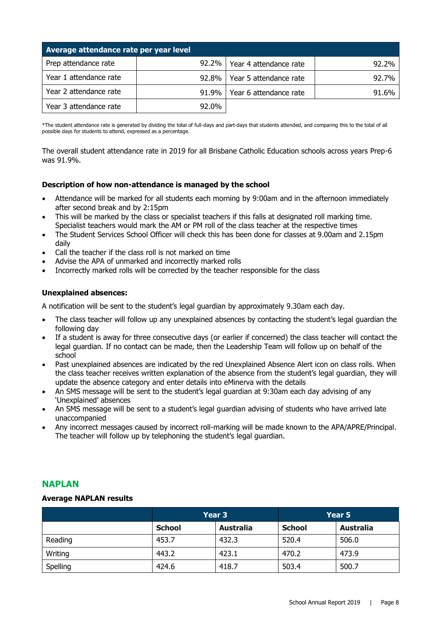| Average attendance rate per year level |          |                        |       |  |  |  |  |
|----------------------------------------|----------|------------------------|-------|--|--|--|--|
| Prep attendance rate                   | $92.2\%$ | Year 4 attendance rate | 92.2% |  |  |  |  |
| Year 1 attendance rate                 | $92.8\%$ | Year 5 attendance rate | 92.7% |  |  |  |  |
| Year 2 attendance rate                 | $91.9\%$ | Year 6 attendance rate | 91.6% |  |  |  |  |
| Year 3 attendance rate                 | 92.0%    |                        |       |  |  |  |  |

\*The student attendance rate is generated by dividing the total of full-days and part-days that students attended, and comparing this to the total of all possible days for students to attend, expressed as a percentage.

The overall student attendance rate in 2019 for all Brisbane Catholic Education schools across years Prep-6 was 91.9%.

#### **Description of how non-attendance is managed by the school**

- Attendance will be marked for all students each morning by 9:00am and in the afternoon immediately after second break and by 2:15pm
- This will be marked by the class or specialist teachers if this falls at designated roll marking time. Specialist teachers would mark the AM or PM roll of the class teacher at the respective times
- The Student Services School Officer will check this has been done for classes at 9.00am and 2.15pm daily
- Call the teacher if the class roll is not marked on time
- Advise the APA of unmarked and incorrectly marked rolls
- Incorrectly marked rolls will be corrected by the teacher responsible for the class

#### **Unexplained absences:**

A notification will be sent to the student's legal guardian by approximately 9.30am each day.

- The class teacher will follow up any unexplained absences by contacting the student's legal guardian the following day
- If a student is away for three consecutive days (or earlier if concerned) the class teacher will contact the legal guardian. If no contact can be made, then the Leadership Team will follow up on behalf of the school
- Past unexplained absences are indicated by the red Unexplained Absence Alert icon on class rolls. When the class teacher receives written explanation of the absence from the student's legal guardian, they will update the absence category and enter details into eMinerva with the details
- An SMS message will be sent to the student's legal guardian at 9:30am each day advising of any 'Unexplained' absences
- An SMS message will be sent to a student's legal guardian advising of students who have arrived late unaccompanied
- Any incorrect messages caused by incorrect roll-marking will be made known to the APA/APRE/Principal. The teacher will follow up by telephoning the student's legal guardian.

#### **NAPLAN**

#### **Average NAPLAN results**

|          | Year 3        |                  | Year 5        |                  |
|----------|---------------|------------------|---------------|------------------|
|          | <b>School</b> | <b>Australia</b> | <b>School</b> | <b>Australia</b> |
| Reading  | 453.7         | 432.3            | 520.4         | 506.0            |
| Writing  | 443.2         | 423.1            | 470.2         | 473.9            |
| Spelling | 424.6         | 418.7            | 503.4         | 500.7            |